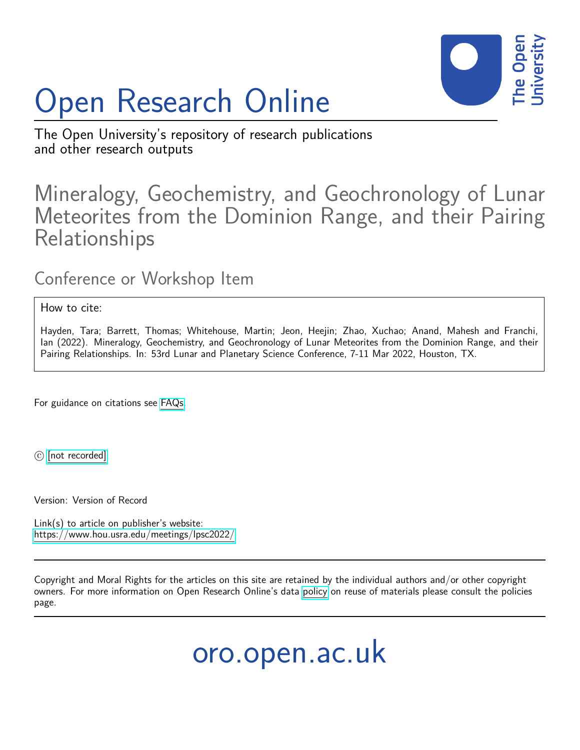

## Open Research Online

The Open University's repository of research publications and other research outputs

## Mineralogy, Geochemistry, and Geochronology of Lunar Meteorites from the Dominion Range, and their Pairing Relationships

## Conference or Workshop Item

## How to cite:

Hayden, Tara; Barrett, Thomas; Whitehouse, Martin; Jeon, Heejin; Zhao, Xuchao; Anand, Mahesh and Franchi, Ian (2022). Mineralogy, Geochemistry, and Geochronology of Lunar Meteorites from the Dominion Range, and their Pairing Relationships. In: 53rd Lunar and Planetary Science Conference, 7-11 Mar 2022, Houston, TX.

For guidance on citations see [FAQs.](http://oro.open.ac.uk/help/helpfaq.html)

 $\circled{c}$  [\[not recorded\]](http://oro.open.ac.uk/help/helpfaq.html#Unrecorded_information_on_coversheet)

Version: Version of Record

Link(s) to article on publisher's website: <https://www.hou.usra.edu/meetings/lpsc2022/>

Copyright and Moral Rights for the articles on this site are retained by the individual authors and/or other copyright owners. For more information on Open Research Online's data [policy](http://oro.open.ac.uk/policies.html) on reuse of materials please consult the policies page.

oro.open.ac.uk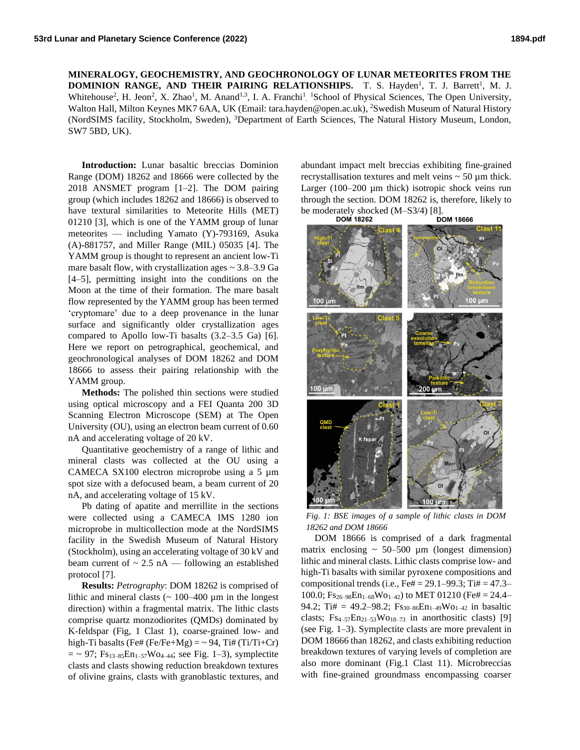**MINERALOGY, GEOCHEMISTRY, AND GEOCHRONOLOGY OF LUNAR METEORITES FROM THE DOMINION RANGE, AND THEIR PAIRING RELATIONSHIPS.** T. S. Hayden<sup>1</sup>, T. J. Barrett<sup>1</sup>, M. J. Whitehouse<sup>2</sup>, H. Jeon<sup>2</sup>, X. Zhao<sup>1</sup>, M. Anand<sup>1,3</sup>, I. A. Franchi<sup>1</sup> <sup>1</sup>School of Physical Sciences, The Open University, Walton Hall, Milton Keynes MK7 6AA, UK (Email: tara.hayden@open.ac.uk), <sup>2</sup>Swedish Museum of Natural History (NordSIMS facility, Stockholm, Sweden), <sup>3</sup>Department of Earth Sciences, The Natural History Museum, London, SW7 5BD, UK).

**Introduction:** Lunar basaltic breccias Dominion Range (DOM) 18262 and 18666 were collected by the 2018 ANSMET program [1–2]. The DOM pairing group (which includes 18262 and 18666) is observed to have textural similarities to Meteorite Hills (MET) 01210 [3], which is one of the YAMM group of lunar meteorites — including Yamato (Y)-793169, Asuka (A)-881757, and Miller Range (MIL) 05035 [4]. The YAMM group is thought to represent an ancient low-Ti mare basalt flow, with crystallization ages  $\sim$  3.8–3.9 Ga [4–5], permitting insight into the conditions on the Moon at the time of their formation. The mare basalt flow represented by the YAMM group has been termed 'cryptomare' due to a deep provenance in the lunar surface and significantly older crystallization ages compared to Apollo low-Ti basalts (3.2–3.5 Ga) [6]. Here we report on petrographical, geochemical, and geochronological analyses of DOM 18262 and DOM 18666 to assess their pairing relationship with the YAMM group.

**Methods:** The polished thin sections were studied using optical microscopy and a FEI Quanta 200 3D Scanning Electron Microscope (SEM) at The Open University (OU), using an electron beam current of 0.60 nA and accelerating voltage of 20 kV.

Quantitative geochemistry of a range of lithic and mineral clasts was collected at the OU using a CAMECA SX100 electron microprobe using a 5  $\mu$ m spot size with a defocused beam, a beam current of 20 nA, and accelerating voltage of 15 kV.

Pb dating of apatite and merrillite in the sections were collected using a CAMECA IMS 1280 ion microprobe in multicollection mode at the NordSIMS facility in the Swedish Museum of Natural History (Stockholm), using an accelerating voltage of 30 kV and beam current of  $\sim 2.5$  nA — following an established protocol [7].

**Results:** *Petrography*: DOM 18262 is comprised of lithic and mineral clasts  $({\sim 100} - 400 \text{ µm}$  in the longest direction) within a fragmental matrix. The lithic clasts comprise quartz monzodiorites (QMDs) dominated by K-feldspar (Fig, 1 Clast 1), coarse-grained low- and high-Ti basalts (Fe# (Fe/Fe+Mg) =  $\sim$  94, Ti# (Ti/Ti+Cr)  $=$  ~ 97;  $Fs_{13-85}En_{1-57}Wo_{4-44}$ ; see Fig. 1–3), symplectite clasts and clasts showing reduction breakdown textures of olivine grains, clasts with granoblastic textures, and

abundant impact melt breccias exhibiting fine-grained recrystallisation textures and melt veins  $\sim$  50  $\mu$ m thick. Larger (100–200 µm thick) isotropic shock veins run through the section. DOM 18262 is, therefore, likely to



*Fig. 1: BSE images of a sample of lithic clasts in DOM 18262 and DOM 18666*

DOM 18666 is comprised of a dark fragmental matrix enclosing  $\sim 50-500 \mu m$  (longest dimension) lithic and mineral clasts. Lithic clasts comprise low- and high-Ti basalts with similar pyroxene compositions and compositional trends (i.e., Fe# = 29.1–99.3; Ti# =  $47.3-$ 100.0;  $Fs_{26-98}En_{1-68}Wo_{1-42}$  to MET 01210 (Fe# = 24.4– 94.2; Ti# = 49.2–98.2;  $Fs_{30-86}En_{1-49}Wo_{1-42}$  in basaltic clasts;  $Fs_{4-57}En_{21-53}Wo_{18-73}$  in anorthositic clasts) [9] (see Fig. 1–3). Symplectite clasts are more prevalent in DOM 18666 than 18262, and clasts exhibiting reduction breakdown textures of varying levels of completion are also more dominant (Fig.1 Clast 11). Microbreccias with fine-grained groundmass encompassing coarser